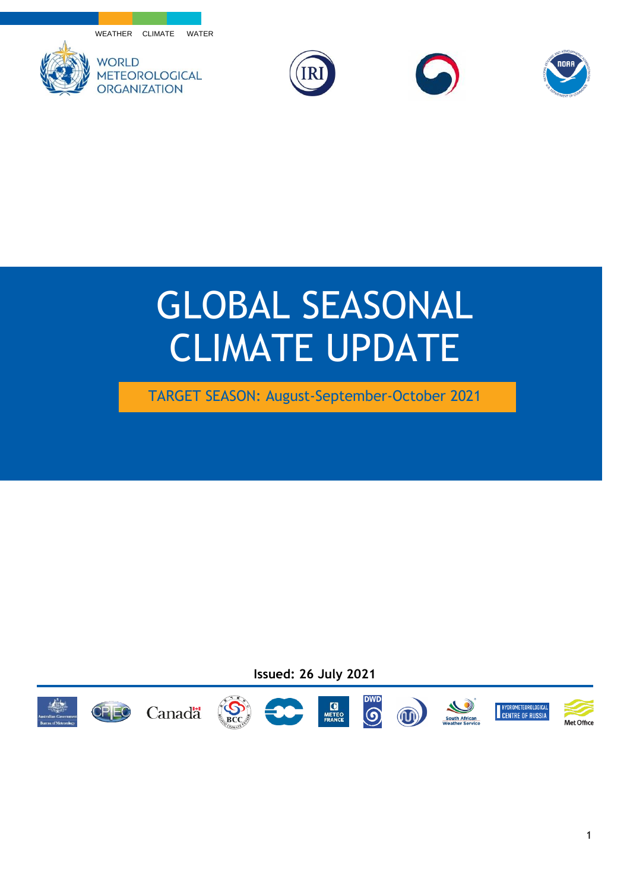





## GLOBAL SEASONAL CLIMATE UPDATE

TARGET SEASON: August-September-October 2021

**Issued: 26 July 2021**

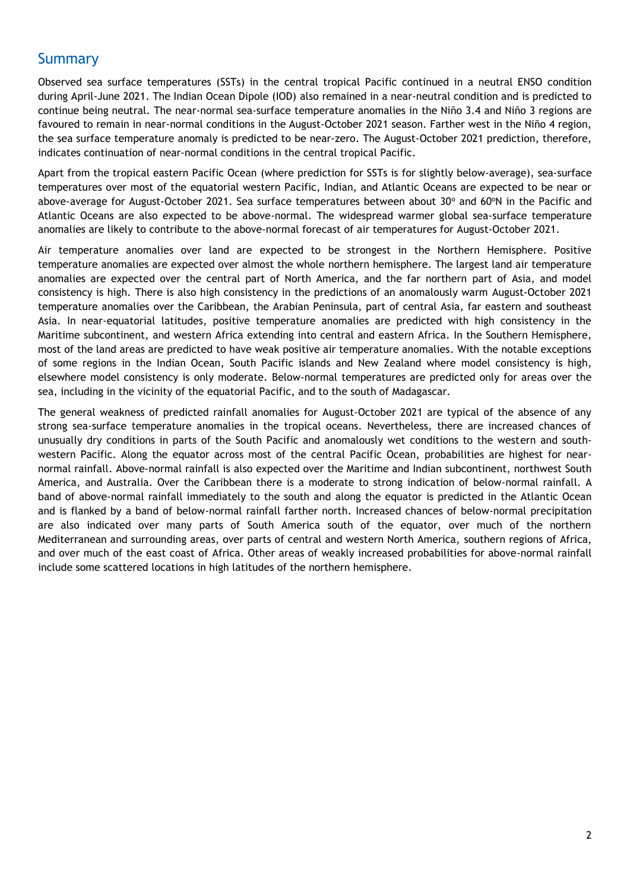## Summary

Observed sea surface temperatures (SSTs) in the central tropical Pacific continued in a neutral ENSO condition during April-June 2021. The Indian Ocean Dipole (IOD) also remained in a near-neutral condition and is predicted to continue being neutral. The near-normal sea-surface temperature anomalies in the Niño 3.4 and Niño 3 regions are favoured to remain in near-normal conditions in the August-October 2021 season. Farther west in the Niño 4 region, the sea surface temperature anomaly is predicted to be near-zero. The August-October 2021 prediction, therefore, indicates continuation of near-normal conditions in the central tropical Pacific.

Apart from the tropical eastern Pacific Ocean (where prediction for SSTs is for slightly below-average), sea-surface temperatures over most of the equatorial western Pacific, Indian, and Atlantic Oceans are expected to be near or above-average for August-October 2021. Sea surface temperatures between about 30° and 60°N in the Pacific and Atlantic Oceans are also expected to be above-normal. The widespread warmer global sea-surface temperature anomalies are likely to contribute to the above-normal forecast of air temperatures for August-October 2021.

Air temperature anomalies over land are expected to be strongest in the Northern Hemisphere. Positive temperature anomalies are expected over almost the whole northern hemisphere. The largest land air temperature anomalies are expected over the central part of North America, and the far northern part of Asia, and model consistency is high. There is also high consistency in the predictions of an anomalously warm August-October 2021 temperature anomalies over the Caribbean, the Arabian Peninsula, part of central Asia, far eastern and southeast Asia. In near-equatorial latitudes, positive temperature anomalies are predicted with high consistency in the Maritime subcontinent, and western Africa extending into central and eastern Africa. In the Southern Hemisphere, most of the land areas are predicted to have weak positive air temperature anomalies. With the notable exceptions of some regions in the Indian Ocean, South Pacific islands and New Zealand where model consistency is high, elsewhere model consistency is only moderate. Below-normal temperatures are predicted only for areas over the sea, including in the vicinity of the equatorial Pacific, and to the south of Madagascar.

The general weakness of predicted rainfall anomalies for August-October 2021 are typical of the absence of any strong sea-surface temperature anomalies in the tropical oceans. Nevertheless, there are increased chances of unusually dry conditions in parts of the South Pacific and anomalously wet conditions to the western and southwestern Pacific. Along the equator across most of the central Pacific Ocean, probabilities are highest for nearnormal rainfall. Above-normal rainfall is also expected over the Maritime and Indian subcontinent, northwest South America, and Australia. Over the Caribbean there is a moderate to strong indication of below-normal rainfall. A band of above-normal rainfall immediately to the south and along the equator is predicted in the Atlantic Ocean and is flanked by a band of below-normal rainfall farther north. Increased chances of below-normal precipitation are also indicated over many parts of South America south of the equator, over much of the northern Mediterranean and surrounding areas, over parts of central and western North America, southern regions of Africa, and over much of the east coast of Africa. Other areas of weakly increased probabilities for above-normal rainfall include some scattered locations in high latitudes of the northern hemisphere.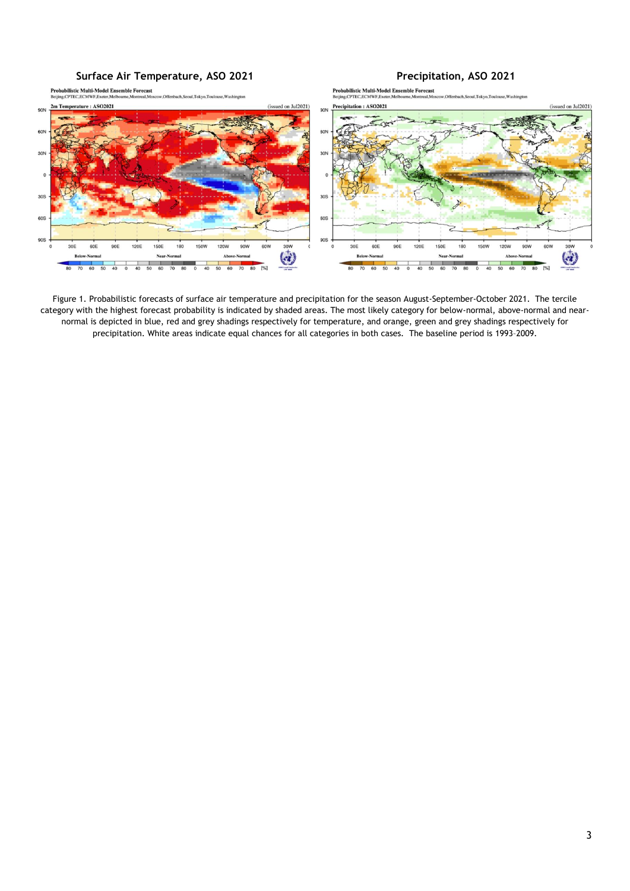

Figure 1. Probabilistic forecasts of surface air temperature and precipitation for the season August-September-October 2021. The tercile category with the highest forecast probability is indicated by shaded areas. The most likely category for below-normal, above-normal and nearnormal is depicted in blue, red and grey shadings respectively for temperature, and orange, green and grey shadings respectively for precipitation. White areas indicate equal chances for all categories in both cases. The baseline period is 1993–2009.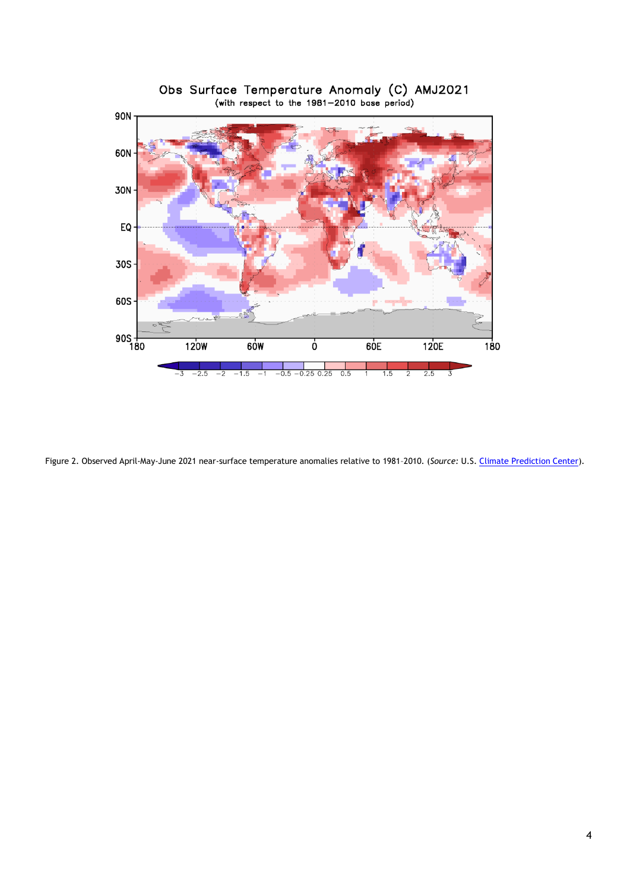

Obs Surface Temperature Anomaly (C) AMJ2021<br>(with respect to the 1981-2010 base period)

Figure 2. Observed April-May-June 2021 near-surface temperature anomalies relative to 1981–2010. (*Source:* U.S. [Climate Prediction Center\)](https://www.cpc.ncep.noaa.gov/).